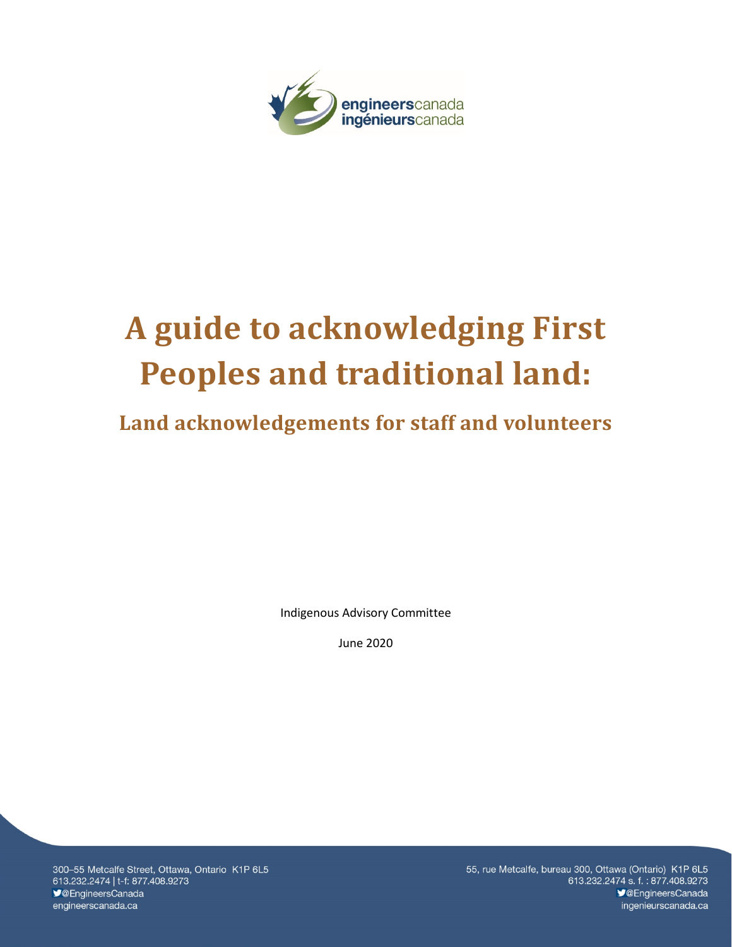

# **A guide to acknowledging First Peoples and traditional land:**

# **Land acknowledgements for staff and volunteers**

Indigenous Advisory Committee

June 2020

300-55 Metcalfe Street, Ottawa, Ontario K1P 6L5 613.232.2474 | t-f: 877.408.9273 ◆ @EngineersCanada engineerscanada.ca

55, rue Metcalfe, bureau 300, Ottawa (Ontario) K1P 6L5 613.232.2474 s.f.: 877.408.9273 **V@EngineersCanada** ingenieurscanada.ca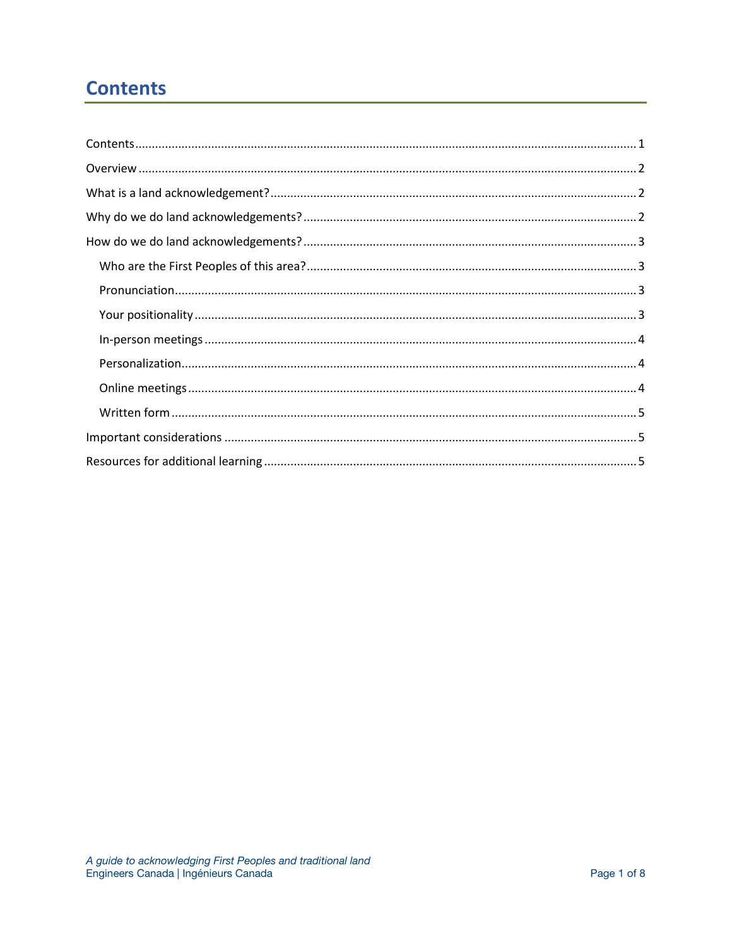# <span id="page-1-0"></span>**Contents**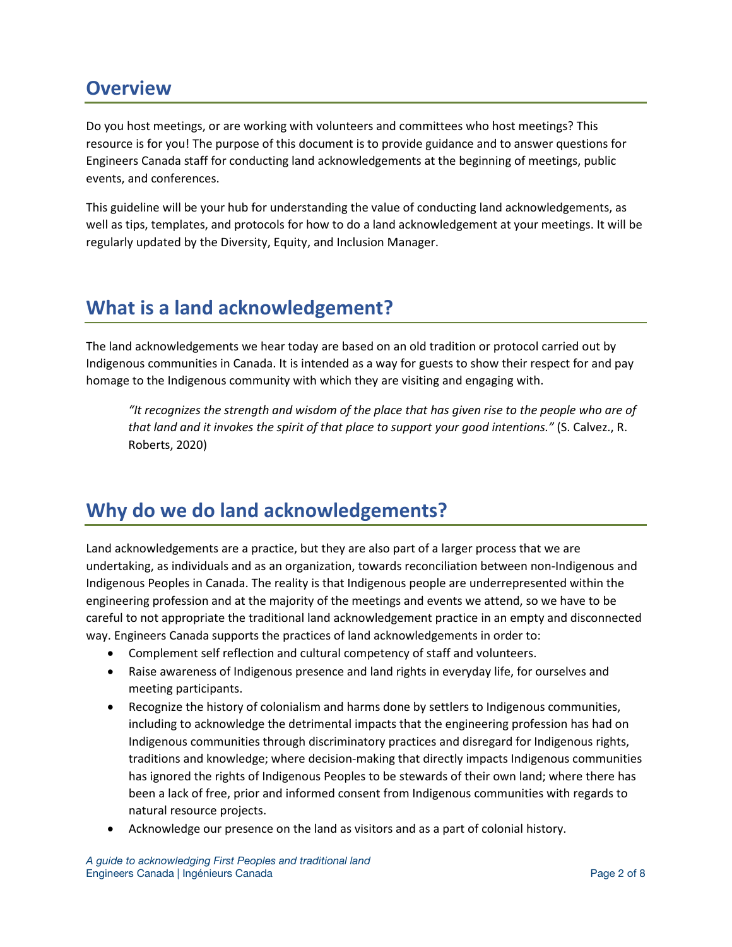## <span id="page-2-0"></span>**Overview**

Do you host meetings, or are working with volunteers and committees who host meetings? This resource is for you! The purpose of this document is to provide guidance and to answer questions for Engineers Canada staff for conducting land acknowledgements at the beginning of meetings, public events, and conferences.

This guideline will be your hub for understanding the value of conducting land acknowledgements, as well as tips, templates, and protocols for how to do a land acknowledgement at your meetings. It will be regularly updated by the Diversity, Equity, and Inclusion Manager.

# <span id="page-2-1"></span>**What is a land acknowledgement?**

The land acknowledgements we hear today are based on an old tradition or protocol carried out by Indigenous communities in Canada. It is intended as a way for guests to show their respect for and pay homage to the Indigenous community with which they are visiting and engaging with.

*"It recognizes the strength and wisdom of the place that has given rise to the people who are of that land and it invokes the spirit of that place to support your good intentions."* (S. Calvez., R. Roberts, 2020)

# <span id="page-2-2"></span>**Why do we do land acknowledgements?**

Land acknowledgements are a practice, but they are also part of a larger process that we are undertaking, as individuals and as an organization, towards reconciliation between non-Indigenous and Indigenous Peoples in Canada. The reality is that Indigenous people are underrepresented within the engineering profession and at the majority of the meetings and events we attend, so we have to be careful to not appropriate the traditional land acknowledgement practice in an empty and disconnected way. Engineers Canada supports the practices of land acknowledgements in order to:

- Complement self reflection and cultural competency of staff and volunteers.
- Raise awareness of Indigenous presence and land rights in everyday life, for ourselves and meeting participants.
- Recognize the history of colonialism and harms done by settlers to Indigenous communities, including to acknowledge the detrimental impacts that the engineering profession has had on Indigenous communities through discriminatory practices and disregard for Indigenous rights, traditions and knowledge; where decision-making that directly impacts Indigenous communities has ignored the rights of Indigenous Peoples to be stewards of their own land; where there has been a lack of free, prior and informed consent from Indigenous communities with regards to natural resource projects.
- Acknowledge our presence on the land as visitors and as a part of colonial history.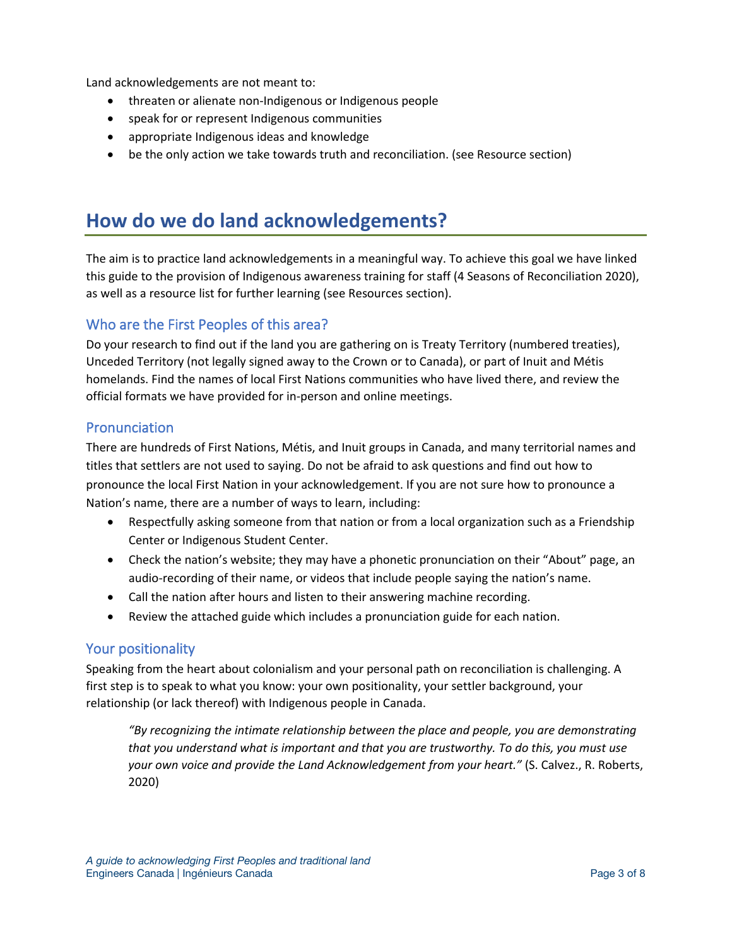Land acknowledgements are not meant to:

- threaten or alienate non-Indigenous or Indigenous people
- speak for or represent Indigenous communities
- appropriate Indigenous ideas and knowledge
- <span id="page-3-0"></span>• be the only action we take towards truth and reconciliation. (see Resource section)

# **How do we do land acknowledgements?**

The aim is to practice land acknowledgements in a meaningful way. To achieve this goal we have linked this guide to the provision of Indigenous awareness training for staff (4 Seasons of Reconciliation 2020), as well as a resource list for further learning (see Resources section).

## <span id="page-3-1"></span>Who are the First Peoples of this area?

Do your research to find out if the land you are gathering on is Treaty Territory (numbered treaties), Unceded Territory (not legally signed away to the Crown or to Canada), or part of Inuit and Métis homelands. Find the names of local First Nations communities who have lived there, and review the official formats we have provided for in-person and online meetings.

## <span id="page-3-2"></span>**Pronunciation**

There are hundreds of First Nations, Métis, and Inuit groups in Canada, and many territorial names and titles that settlers are not used to saying. Do not be afraid to ask questions and find out how to pronounce the local First Nation in your acknowledgement. If you are not sure how to pronounce a Nation's name, there are a number of ways to learn, including:

- Respectfully asking someone from that nation or from a local organization such as a Friendship Center or Indigenous Student Center.
- Check the nation's website; they may have a phonetic pronunciation on their "About" page, an audio-recording of their name, or videos that include people saying the nation's name.
- Call the nation after hours and listen to their answering machine recording.
- Review the attached guide which includes a pronunciation guide for each nation.

#### <span id="page-3-3"></span>Your positionality

Speaking from the heart about colonialism and your personal path on reconciliation is challenging. A first step is to speak to what you know: your own positionality, your settler background, your relationship (or lack thereof) with Indigenous people in Canada.

*"By recognizing the intimate relationship between the place and people, you are demonstrating that you understand what is important and that you are trustworthy. To do this, you must use your own voice and provide the Land Acknowledgement from your heart."* (S. Calvez., R. Roberts, 2020)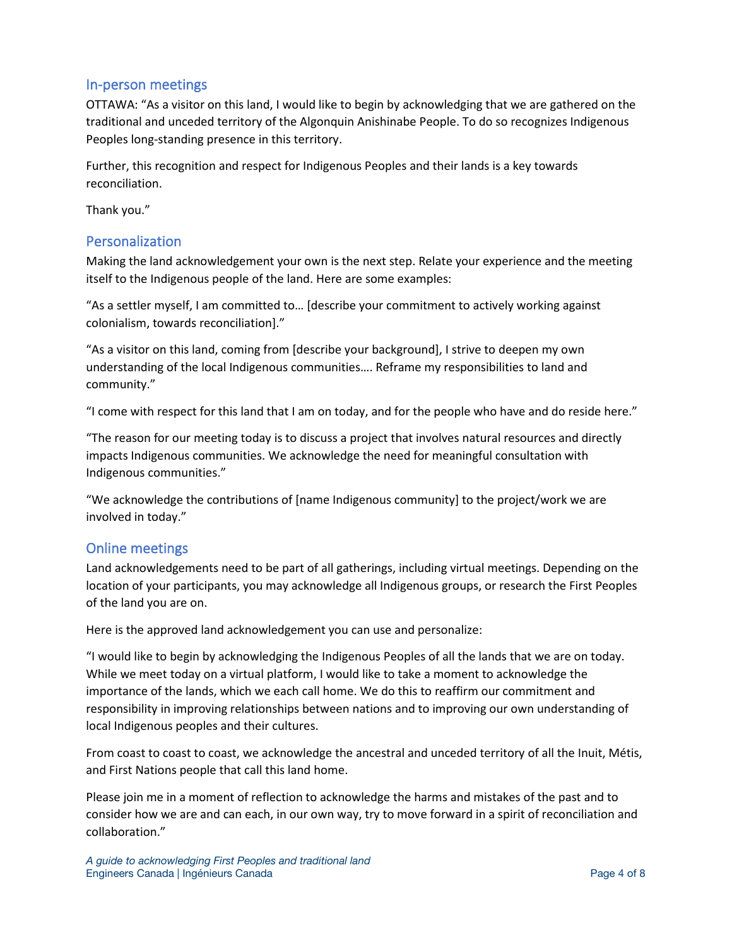## <span id="page-4-0"></span>In-person meetings

OTTAWA: "As a visitor on this land, I would like to begin by acknowledging that we are gathered on the traditional and unceded territory of the Algonquin Anishinabe People. To do so recognizes Indigenous Peoples long-standing presence in this territory.

Further, this recognition and respect for Indigenous Peoples and their lands is a key towards reconciliation.

Thank you."

## <span id="page-4-1"></span>Personalization

Making the land acknowledgement your own is the next step. Relate your experience and the meeting itself to the Indigenous people of the land. Here are some examples:

"As a settler myself, I am committed to… [describe your commitment to actively working against colonialism, towards reconciliation]."

"As a visitor on this land, coming from [describe your background], I strive to deepen my own understanding of the local Indigenous communities…. Reframe my responsibilities to land and community."

"I come with respect for this land that I am on today, and for the people who have and do reside here."

"The reason for our meeting today is to discuss a project that involves natural resources and directly impacts Indigenous communities. We acknowledge the need for meaningful consultation with Indigenous communities."

"We acknowledge the contributions of [name Indigenous community] to the project/work we are involved in today."

## <span id="page-4-2"></span>Online meetings

Land acknowledgements need to be part of all gatherings, including virtual meetings. Depending on the location of your participants, you may acknowledge all Indigenous groups, or research the First Peoples of the land you are on.

Here is the approved land acknowledgement you can use and personalize:

"I would like to begin by acknowledging the Indigenous Peoples of all the lands that we are on today. While we meet today on a virtual platform, I would like to take a moment to acknowledge the importance of the lands, which we each call home. We do this to reaffirm our commitment and responsibility in improving relationships between nations and to improving our own understanding of local Indigenous peoples and their cultures.

From coast to coast to coast, we acknowledge the ancestral and unceded territory of all the Inuit, Métis, and First Nations people that call this land home.

Please join me in a moment of reflection to acknowledge the harms and mistakes of the past and to consider how we are and can each, in our own way, try to move forward in a spirit of reconciliation and collaboration."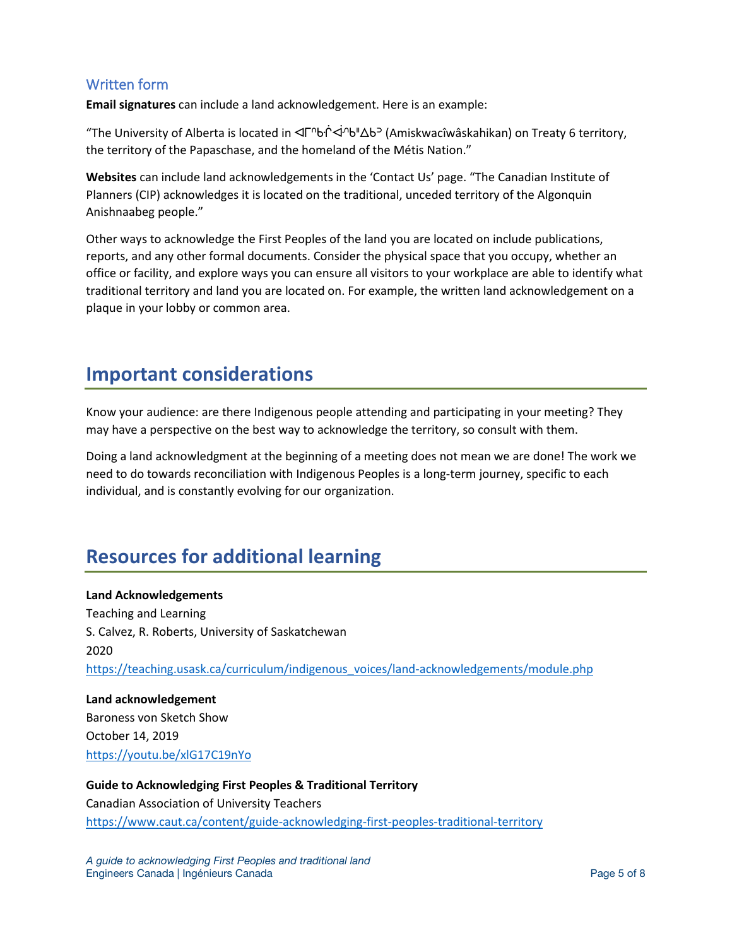## <span id="page-5-0"></span>Written form

**Email signatures** can include a land acknowledgement. Here is an example:

"The University of Alberta is located in ⊲Г<sup>∩</sup>bi<sup>→</sup>d<sup>n</sup>b"∆b<sup>5</sup> (Amiskwacîwâskahikan) on Treaty 6 territory, the territory of the Papaschase, and the homeland of the Métis Nation."

**Websites** can include land acknowledgements in the 'Contact Us' page. "The Canadian Institute of Planners (CIP) acknowledges it is located on the traditional, unceded territory of the Algonquin Anishnaabeg people."

Other ways to acknowledge the First Peoples of the land you are located on include publications, reports, and any other formal documents. Consider the physical space that you occupy, whether an office or facility, and explore ways you can ensure all visitors to your workplace are able to identify what traditional territory and land you are located on. For example, the written land acknowledgement on a plaque in your lobby or common area.

# <span id="page-5-1"></span>**Important considerations**

Know your audience: are there Indigenous people attending and participating in your meeting? They may have a perspective on the best way to acknowledge the territory, so consult with them.

Doing a land acknowledgment at the beginning of a meeting does not mean we are done! The work we need to do towards reconciliation with Indigenous Peoples is a long-term journey, specific to each individual, and is constantly evolving for our organization.

# <span id="page-5-2"></span>**Resources for additional learning**

**Land Acknowledgements** Teaching and Learning S. Calvez, R. Roberts, University of Saskatchewan 2020 [https://teaching.usask.ca/curriculum/indigenous\\_voices/land-acknowledgements/module.php](https://teaching.usask.ca/curriculum/indigenous_voices/land-acknowledgements/module.php)

**Land acknowledgement** Baroness von Sketch Show October 14, 2019 <https://youtu.be/xlG17C19nYo>

**Guide to Acknowledging First Peoples & Traditional Territory** Canadian Association of University Teachers <https://www.caut.ca/content/guide-acknowledging-first-peoples-traditional-territory>